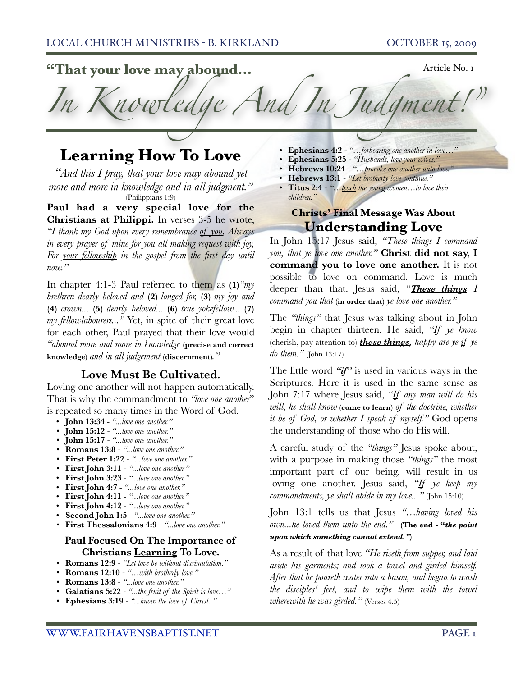Article No. 1

# **"That your love may abound...**

*In Knowledge And In Judgment!"*

# **Learning How To Love**

*"And this I pray, that your love may abound yet more and more in knowledge and in all judgment."*  (Philippians 1:9)

**Paul had a very special love for the Christians at Philippi.** In verses 3-5 he wrote, *"I thank my God upon every remembrance of you, Always in every prayer of mine for you all making request with joy,*  For your fellowship in the gospel from the first day until *now."* 

In chapter 4:1-3 Paul referred to them as **(1)***"my brethren dearly beloved and* **(2)** *longed for,* **(3)** *my joy and*  **(4)** *crown...* **(5)** *dearly beloved...* **(6)** *true yokefellow...* **(7)**  *my fellowlabourers..."* Yet, in spite of their great love for each other, Paul prayed that their love would *"abound more and more in knowledge* **(precise and correct knowledge)** *and in all judgement* **(discernment)***."*

## **Love Must Be Cultivated.**

Loving one another will not happen automatically. That is why the commandment to *"love one another*" is repeated so many times in the Word of God.

- **John 13:34**  *"...love one another."*
- *•* **John 15:12** *"...love one another."*
- *•* **John 15:17** *"...love one another."*
- *•* **Romans 13:8** *"...love one another."*
- *•* **First Peter 1:22**  *"...love one another."*
- *•* **First John 3:11** *"...love one another."*
- **First John 3:23**  *"...love one another."*
- **First John 4:7**  *"...love one another."*
- **First John 4:11** *"...love one another."*
- **First John 4:12**  *"...love one another."*
- **Second John 1:5**  *"...love one another."*
- *•* **First Thessalonians 4:9** *"...love one another."*

#### **Paul Focused On The Importance of Christians Learning To Love.**

- *•* **Romans 12:9** *"Let love be without dissimulation."*
- *•* **Romans 12:10** *"…with brotherly love."*
- *•* **Romans 13:8** *"...love one another."*
- *•* **Galatians 5:22**  *"...the fruit of the Spirit is love…"*
- *•* **Ephesians 3:19** *"...know the love of Christ.."*
- *•* **Ephesians 4:2** *"…forbearing one another in love…"*
- *•* **Ephesians 5:25** *"Husbands, love your wives."*
- *•* **Hebrews 10:24** *"…provoke one another unto love."*
- *•* **Hebrews 13:1** *"Let brotherly love continue."*
- *•* **Titus 2:4** *"…teach the young women…to love their children."*

# **Christs' Final Message Was About Understanding Love**

In John 15:17 Jesus said, *"These things I command you, that ye love one another."* **Christ did not say, I command you to love one another.** It is not possible to love on command. Love is much deeper than that. Jesus said, "*These things I command you that* **(in order that)** *ye love one another."*

The *"things"* that Jesus was talking about in John begin in chapter thirteen. He said, *"If ye know*  (cherish, pay attention to) *these things, happy are ye if ye do them."* (John 13:17)

The little word *"if"* is used in various ways in the Scriptures. Here it is used in the same sense as John 7:17 where Jesus said, *"If any man will do his will, he shall know* **(come to learn)** *of the doctrine, whether it be of God, or whether I speak of myself."* God opens the understanding of those who do His will.

A careful study of the *"things"* Jesus spoke about, with a purpose in making those *"things"* the most important part of our being, will result in us loving one another. Jesus said, *"If ye keep my commandments, ye shall abide in my love..."* (John 15:10)

John 13:1 tells us that Jesus *"…having loved his own...he loved them unto the end."* **(The end - "***the point upon which something cannot extend."***)**

As a result of that love *"He riseth from supper, and laid aside his garments; and took a towel and girded himself. After that he poureth water into a bason, and began to wash the disciples' feet, and to wipe them with the towel wherewith he was girded."* (Verses 4,5)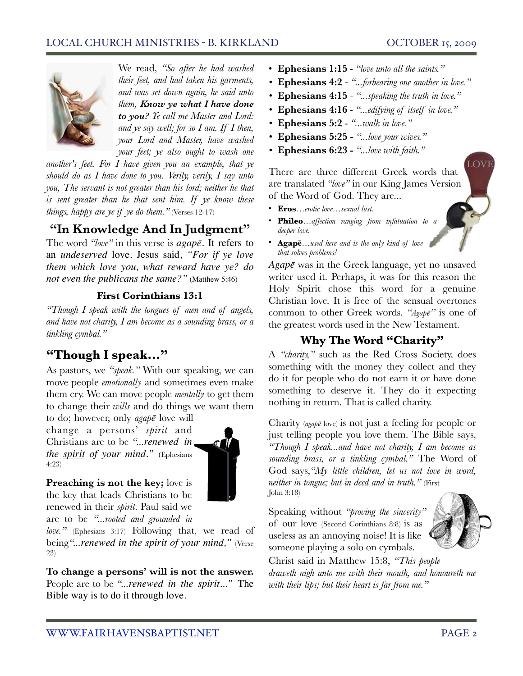**LOVI** 



We read, *"So after he had washed their feet, and had taken his garments, and was set down again, he said unto them, Know ye what I have done to you? Ye call me Master and Lord: and ye say well; for so I am. If I then, your Lord and Master, have washed your feet; ye also ought to wash one* 

*another's feet. For I have given you an example, that ye should do as I have done to you. Verily, verily, I say unto you, The servant is not greater than his lord; neither he that is sent greater than he that sent him. If ye know these things, happy are ye if ye do them."* (Verses 12-17)

# **"In Knowledge And In Judgment"**

The word *"love"* in this verse is *agap!.* It refers to an *undeserved* love. Jesus said, *"For if ye love them which love you, what reward have ye? do not even the publicans the same?"* (Matthew 5:46)

#### **First Corinthians 13:1**

*"Though I speak with the tongues of men and of angels, and have not charity, I am become as a sounding brass, or a tinkling cymbal."*

# **"Though I speak..."**

As pastors, we *"speak."* With our speaking, we can move people *emotionally* and sometimes even make them cry. We can move people *mentally* to get them to change their *wills* and do things we want them

to do; however, only *agap* $\bar{e}$  love will change a persons' *spirit* and Christians are to be *"...renewed in the spirit of your mind."* (Ephesians 4:23)



**Preaching is not the key;** love is the key that leads Christians to be renewed in their *spirit*. Paul said we are to be *"...rooted and grounded in* 

*love."* (Ephesians 3:17) Following that, we read of being*"...renewed in the spirit of your mind,"* (Verse 23)

**To change a persons' will is not the answer.**  People are to be *"...renewed in the spirit..."* The Bible way is to do it through love.

- **Ephesians 1:15** - *"love unto all the saints."*
- *•* **Ephesians 4:2** *"...forbearing one another in love."*
- *•* **Ephesians 4:15** *"...speaking the truth in love."*
- *•* **Ephesians 4:16**  *"...edifying of itself in love."*
- *•* **Ephesians 5:2** - *"...walk in love."*
- *•* **Ephesians 5:25** *"...love your wives."*
- *•* **Ephesians 6:23** *"...love with faith."*

There are three different Greek words that are translated *"love"* in our King James Version of the Word of God. They are...

- **Eros**…*erotic love…sexual lust.*
- **Phileo***…affection ranging from infatuation to a deeper love.*
- **Agap!**…*used here and is the only kind of love that solves problems!*

Agap $\bar{e}$  was in the Greek language, yet no unsaved writer used it. Perhaps, it was for this reason the Holy Spirit chose this word for a genuine Christian love. It is free of the sensual overtones common to other Greek words. *"Agap*<sup>*e*</sup>" is one of the greatest words used in the New Testament.

### **Why The Word "Charity"**

A *"charity,"* such as the Red Cross Society, does something with the money they collect and they do it for people who do not earn it or have done something to deserve it. They do it expecting nothing in return. That is called charity.

Charity (*agap* $\bar{e}$  love) is not just a feeling for people or just telling people you love them. The Bible says, *"Though I speak...and have not charity, I am become as sounding brass, or a tinkling cymbal."* The Word of God says,*"My little children, let us not love in word, neither in tongue; but in deed and in truth."* (First John 3:18)

Speaking without *"proving the sincerity"*  of our love (Second Corinthians 8:8) is as useless as an annoying noise! It is like someone playing a solo on cymbals.



Christ said in Matthew 15:8, *"This people draweth nigh unto me with their mouth, and honoureth me with their lips; but their heart is far from me."*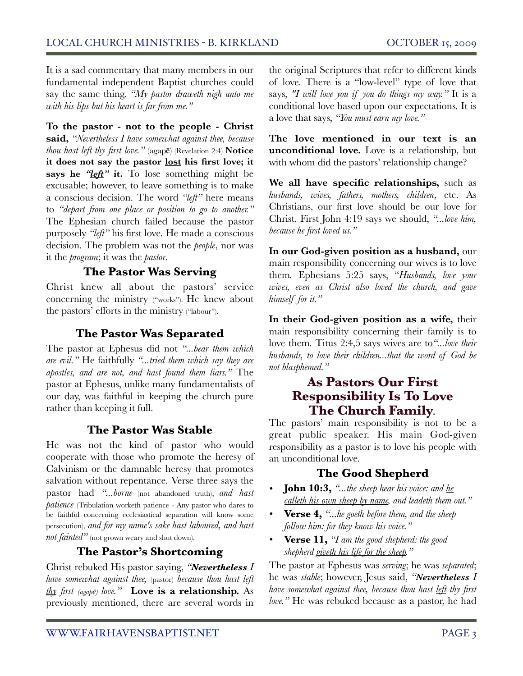It is a sad commentary that many members in our fundamental independent Baptist churches could say the same thing. *"My pastor draweth nigh unto me with his lips but his heart is far from me."* 

**To the pastor - not to the people - Christ said,** *"Nevertheless I have somewhat against thee, because thou hast left thy first love.*" (agape) (Revelation 2:4) **Notice it does not say the pastor lost his first love; it says he** *"left"* **it.** To lose something might be excusable; however, to leave something is to make a conscious decision. The word *"left"* here means to *"depart from one place or position to go to another."* The Ephesian church failed because the pastor purposely *"left"* his first love. He made a conscious decision. The problem was not the *people*, nor was it the *program*; it was the *pastor*.

#### **The Pastor Was Serving**

Christ knew all about the pastors' service concerning the ministry ("works"). He knew about the pastors' efforts in the ministry ("labour").

#### **The Pastor Was Separated**

The pastor at Ephesus did not *"...bear them which are evil."* He faithfully *"...tried them which say they are apostles, and are not, and hast found them liars."* The pastor at Ephesus, unlike many fundamentalists of our day, was faithful in keeping the church pure rather than keeping it full.

#### **The Pastor Was Stable**

He was not the kind of pastor who would cooperate with those who promote the heresy of Calvinism or the damnable heresy that promotes salvation without repentance. Verse three says the pastor had *"...borne* (not abandoned truth), *and hast patience* (Tribulation worketh patience - Any pastor who dares to be faithful concerning ecclesiastical separation will know some persecution), *and for my name's sake hast laboured, and hast not fainted"* (not grown weary and shut down).

#### **The Pastor's Shortcoming**

Christ rebuked His pastor saying, *"Nevertheless I have somewhat against thee,* (pastor) *because thou hast left thy first (agap!) love."* **Love is a relationship.** As previously mentioned, there are several words in

the original Scriptures that refer to different kinds of love. There is a "low-level" type of love that says, *"I will love you if you do things my way."* It is a conditional love based upon our expectations. It is a love that says, *"You must earn my love."* 

**The love mentioned in our text is an unconditional love.** Love is a relationship, but with whom did the pastors' relationship change?

**We all have specific relationships,** such as *husbands, wives, fathers, mothers, children*, etc. As Christians, our first love should be our love for Christ. First John 4:19 says we should, *"...love him, because he first loved us."*

**In our God-given position as a husband,** our main responsibility concerning our wives is to love them*.* Ephesians 5:25 says, "*Husbands, love your wives, even as Christ also loved the church, and gave himself for it."*

**In their God-given position as a wife,** their main responsibility concerning their family is to love them*.* Titus 2:4,5 says wives are to*"...love their husbands, to love their children...that the word of God be not blasphemed."*

#### **As Pastors Our First Responsibility Is To Love The Church Family***.*

The pastors' main responsibility is not to be a great public speaker. His main God-given responsibility as a pastor is to love his people with an unconditional love.

#### **The Good Shepherd**

- *•* **John 10:3,** *"...the sheep hear his voice: and he calleth his own sheep by name, and leadeth them out."*
- *•* **Verse 4,** *"...he goeth before them, and the sheep follow him: for they know his voice."*
- *•* **Verse 11,** *"I am the good shepherd: the good shepherd giveth his life for the sheep."*

The pastor at Ephesus was *serving*; he was *separated*; he was *stable*; however, Jesus said, *"Nevertheless I have somewhat against thee, because thou hast left thy first love."* He was rebuked because as a pastor, he had